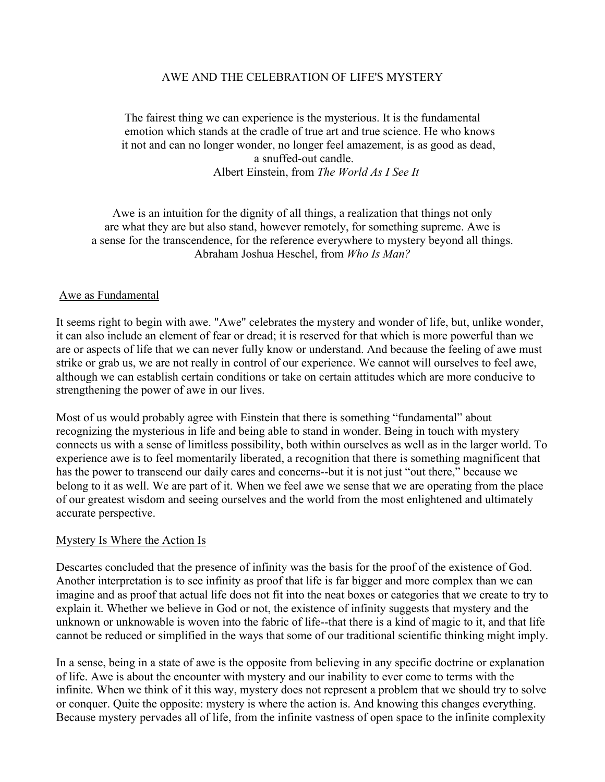## AWE AND THE CELEBRATION OF LIFE'S MYSTERY

The fairest thing we can experience is the mysterious. It is the fundamental emotion which stands at the cradle of true art and true science. He who knows it not and can no longer wonder, no longer feel amazement, is as good as dead, a snuffed-out candle. Albert Einstein, from *The World As I See It*

Awe is an intuition for the dignity of all things, a realization that things not only are what they are but also stand, however remotely, for something supreme. Awe is a sense for the transcendence, for the reference everywhere to mystery beyond all things. Abraham Joshua Heschel, from *Who Is Man?*

#### Awe as Fundamental

It seems right to begin with awe. "Awe" celebrates the mystery and wonder of life, but, unlike wonder, it can also include an element of fear or dread; it is reserved for that which is more powerful than we are or aspects of life that we can never fully know or understand. And because the feeling of awe must strike or grab us, we are not really in control of our experience. We cannot will ourselves to feel awe, although we can establish certain conditions or take on certain attitudes which are more conducive to strengthening the power of awe in our lives.

Most of us would probably agree with Einstein that there is something "fundamental" about recognizing the mysterious in life and being able to stand in wonder. Being in touch with mystery connects us with a sense of limitless possibility, both within ourselves as well as in the larger world. To experience awe is to feel momentarily liberated, a recognition that there is something magnificent that has the power to transcend our daily cares and concerns--but it is not just "out there," because we belong to it as well. We are part of it. When we feel awe we sense that we are operating from the place of our greatest wisdom and seeing ourselves and the world from the most enlightened and ultimately accurate perspective.

### Mystery Is Where the Action Is

Descartes concluded that the presence of infinity was the basis for the proof of the existence of God. Another interpretation is to see infinity as proof that life is far bigger and more complex than we can imagine and as proof that actual life does not fit into the neat boxes or categories that we create to try to explain it. Whether we believe in God or not, the existence of infinity suggests that mystery and the unknown or unknowable is woven into the fabric of life--that there is a kind of magic to it, and that life cannot be reduced or simplified in the ways that some of our traditional scientific thinking might imply.

In a sense, being in a state of awe is the opposite from believing in any specific doctrine or explanation of life. Awe is about the encounter with mystery and our inability to ever come to terms with the infinite. When we think of it this way, mystery does not represent a problem that we should try to solve or conquer. Quite the opposite: mystery is where the action is. And knowing this changes everything. Because mystery pervades all of life, from the infinite vastness of open space to the infinite complexity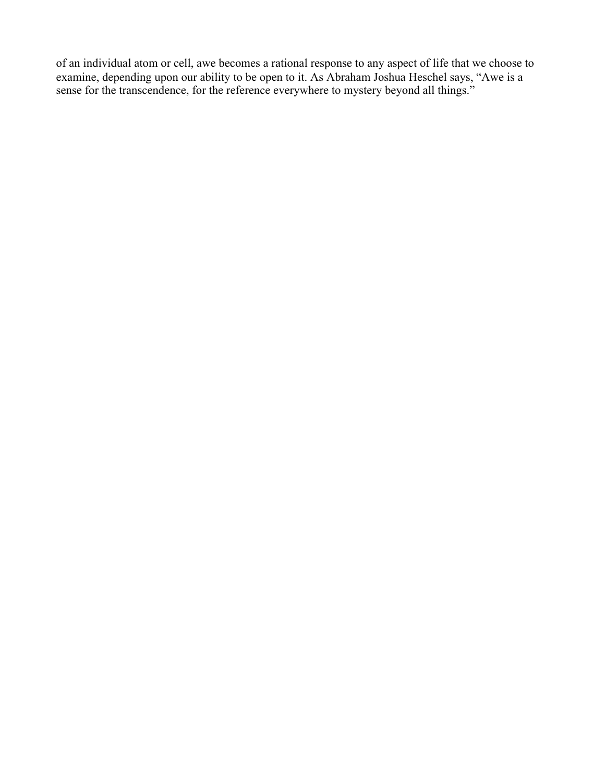of an individual atom or cell, awe becomes a rational response to any aspect of life that we choose to examine, depending upon our ability to be open to it. As Abraham Joshua Heschel says, "Awe is a sense for the transcendence, for the reference everywhere to mystery beyond all things."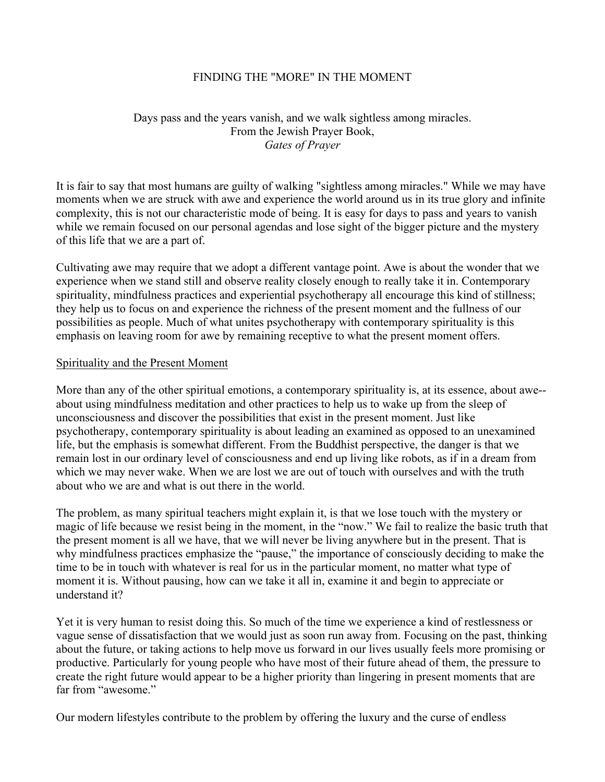## FINDING THE "MORE" IN THE MOMENT

# Days pass and the years vanish, and we walk sightless among miracles. From the Jewish Prayer Book, *Gates of Prayer*

It is fair to say that most humans are guilty of walking "sightless among miracles." While we may have moments when we are struck with awe and experience the world around us in its true glory and infinite complexity, this is not our characteristic mode of being. It is easy for days to pass and years to vanish while we remain focused on our personal agendas and lose sight of the bigger picture and the mystery of this life that we are a part of.

Cultivating awe may require that we adopt a different vantage point. Awe is about the wonder that we experience when we stand still and observe reality closely enough to really take it in. Contemporary spirituality, mindfulness practices and experiential psychotherapy all encourage this kind of stillness; they help us to focus on and experience the richness of the present moment and the fullness of our possibilities as people. Much of what unites psychotherapy with contemporary spirituality is this emphasis on leaving room for awe by remaining receptive to what the present moment offers.

### Spirituality and the Present Moment

More than any of the other spiritual emotions, a contemporary spirituality is, at its essence, about awe- about using mindfulness meditation and other practices to help us to wake up from the sleep of unconsciousness and discover the possibilities that exist in the present moment. Just like psychotherapy, contemporary spirituality is about leading an examined as opposed to an unexamined life, but the emphasis is somewhat different. From the Buddhist perspective, the danger is that we remain lost in our ordinary level of consciousness and end up living like robots, as if in a dream from which we may never wake. When we are lost we are out of touch with ourselves and with the truth about who we are and what is out there in the world.

The problem, as many spiritual teachers might explain it, is that we lose touch with the mystery or magic of life because we resist being in the moment, in the "now." We fail to realize the basic truth that the present moment is all we have, that we will never be living anywhere but in the present. That is why mindfulness practices emphasize the "pause," the importance of consciously deciding to make the time to be in touch with whatever is real for us in the particular moment, no matter what type of moment it is. Without pausing, how can we take it all in, examine it and begin to appreciate or understand it?

Yet it is very human to resist doing this. So much of the time we experience a kind of restlessness or vague sense of dissatisfaction that we would just as soon run away from. Focusing on the past, thinking about the future, or taking actions to help move us forward in our lives usually feels more promising or productive. Particularly for young people who have most of their future ahead of them, the pressure to create the right future would appear to be a higher priority than lingering in present moments that are far from "awesome."

Our modern lifestyles contribute to the problem by offering the luxury and the curse of endless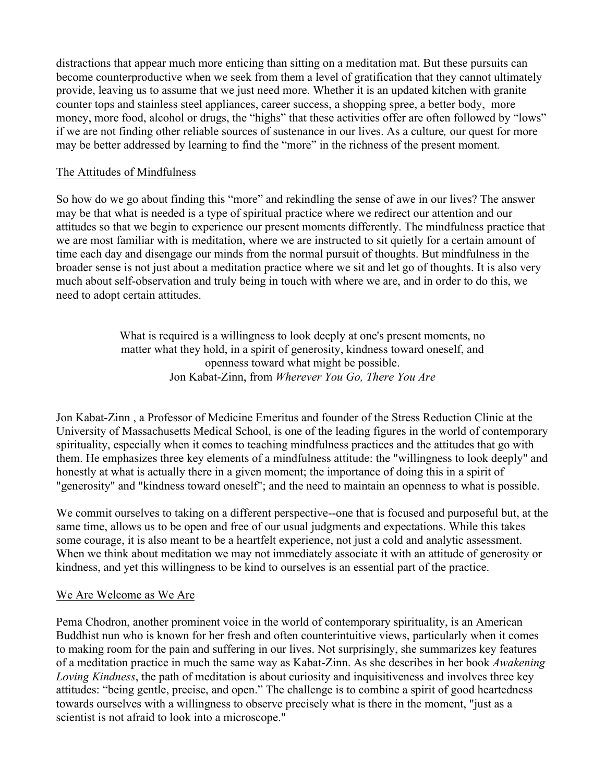distractions that appear much more enticing than sitting on a meditation mat. But these pursuits can become counterproductive when we seek from them a level of gratification that they cannot ultimately provide, leaving us to assume that we just need more. Whether it is an updated kitchen with granite counter tops and stainless steel appliances, career success, a shopping spree, a better body, more money, more food, alcohol or drugs, the "highs" that these activities offer are often followed by "lows" if we are not finding other reliable sources of sustenance in our lives. As a culture*,* our quest for more may be better addressed by learning to find the "more" in the richness of the present moment*.*

## The Attitudes of Mindfulness

So how do we go about finding this "more" and rekindling the sense of awe in our lives? The answer may be that what is needed is a type of spiritual practice where we redirect our attention and our attitudes so that we begin to experience our present moments differently. The mindfulness practice that we are most familiar with is meditation, where we are instructed to sit quietly for a certain amount of time each day and disengage our minds from the normal pursuit of thoughts. But mindfulness in the broader sense is not just about a meditation practice where we sit and let go of thoughts. It is also very much about self-observation and truly being in touch with where we are, and in order to do this, we need to adopt certain attitudes.

> What is required is a willingness to look deeply at one's present moments, no matter what they hold, in a spirit of generosity, kindness toward oneself, and openness toward what might be possible. Jon Kabat-Zinn, from *Wherever You Go, There You Are*

Jon Kabat-Zinn , a Professor of Medicine Emeritus and founder of the Stress Reduction Clinic at the University of Massachusetts Medical School, is one of the leading figures in the world of contemporary spirituality, especially when it comes to teaching mindfulness practices and the attitudes that go with them. He emphasizes three key elements of a mindfulness attitude: the "willingness to look deeply" and honestly at what is actually there in a given moment; the importance of doing this in a spirit of "generosity" and "kindness toward oneself"; and the need to maintain an openness to what is possible.

We commit ourselves to taking on a different perspective--one that is focused and purposeful but, at the same time, allows us to be open and free of our usual judgments and expectations. While this takes some courage, it is also meant to be a heartfelt experience, not just a cold and analytic assessment. When we think about meditation we may not immediately associate it with an attitude of generosity or kindness, and yet this willingness to be kind to ourselves is an essential part of the practice.

# We Are Welcome as We Are

Pema Chodron, another prominent voice in the world of contemporary spirituality, is an American Buddhist nun who is known for her fresh and often counterintuitive views, particularly when it comes to making room for the pain and suffering in our lives. Not surprisingly, she summarizes key features of a meditation practice in much the same way as Kabat-Zinn. As she describes in her book *Awakening Loving Kindness*, the path of meditation is about curiosity and inquisitiveness and involves three key attitudes: "being gentle, precise, and open." The challenge is to combine a spirit of good heartedness towards ourselves with a willingness to observe precisely what is there in the moment, "just as a scientist is not afraid to look into a microscope."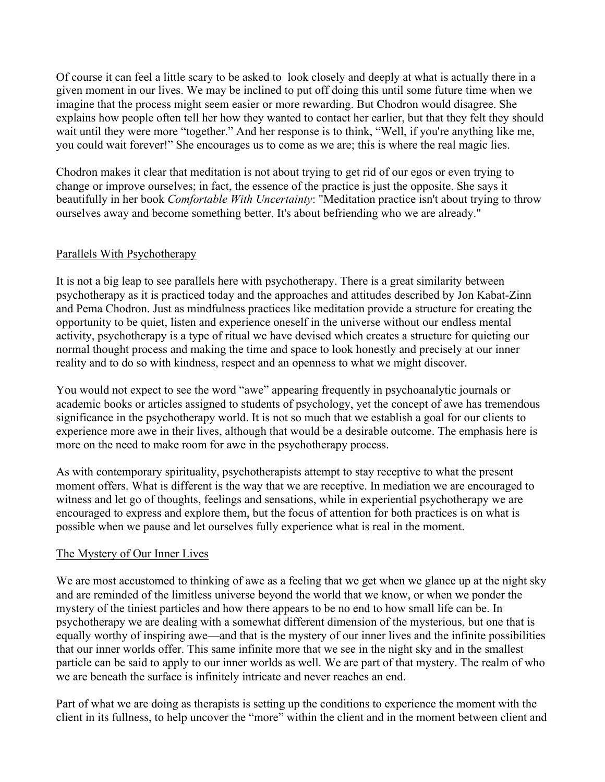Of course it can feel a little scary to be asked to look closely and deeply at what is actually there in a given moment in our lives. We may be inclined to put off doing this until some future time when we imagine that the process might seem easier or more rewarding. But Chodron would disagree. She explains how people often tell her how they wanted to contact her earlier, but that they felt they should wait until they were more "together." And her response is to think, "Well, if you're anything like me, you could wait forever!" She encourages us to come as we are; this is where the real magic lies.

Chodron makes it clear that meditation is not about trying to get rid of our egos or even trying to change or improve ourselves; in fact, the essence of the practice is just the opposite. She says it beautifully in her book *Comfortable With Uncertainty*: "Meditation practice isn't about trying to throw ourselves away and become something better. It's about befriending who we are already."

## Parallels With Psychotherapy

It is not a big leap to see parallels here with psychotherapy. There is a great similarity between psychotherapy as it is practiced today and the approaches and attitudes described by Jon Kabat-Zinn and Pema Chodron. Just as mindfulness practices like meditation provide a structure for creating the opportunity to be quiet, listen and experience oneself in the universe without our endless mental activity, psychotherapy is a type of ritual we have devised which creates a structure for quieting our normal thought process and making the time and space to look honestly and precisely at our inner reality and to do so with kindness, respect and an openness to what we might discover.

You would not expect to see the word "awe" appearing frequently in psychoanalytic journals or academic books or articles assigned to students of psychology, yet the concept of awe has tremendous significance in the psychotherapy world. It is not so much that we establish a goal for our clients to experience more awe in their lives, although that would be a desirable outcome. The emphasis here is more on the need to make room for awe in the psychotherapy process.

As with contemporary spirituality, psychotherapists attempt to stay receptive to what the present moment offers. What is different is the way that we are receptive. In mediation we are encouraged to witness and let go of thoughts, feelings and sensations, while in experiential psychotherapy we are encouraged to express and explore them, but the focus of attention for both practices is on what is possible when we pause and let ourselves fully experience what is real in the moment.

### The Mystery of Our Inner Lives

We are most accustomed to thinking of awe as a feeling that we get when we glance up at the night sky and are reminded of the limitless universe beyond the world that we know, or when we ponder the mystery of the tiniest particles and how there appears to be no end to how small life can be. In psychotherapy we are dealing with a somewhat different dimension of the mysterious, but one that is equally worthy of inspiring awe—and that is the mystery of our inner lives and the infinite possibilities that our inner worlds offer. This same infinite more that we see in the night sky and in the smallest particle can be said to apply to our inner worlds as well. We are part of that mystery. The realm of who we are beneath the surface is infinitely intricate and never reaches an end.

Part of what we are doing as therapists is setting up the conditions to experience the moment with the client in its fullness, to help uncover the "more" within the client and in the moment between client and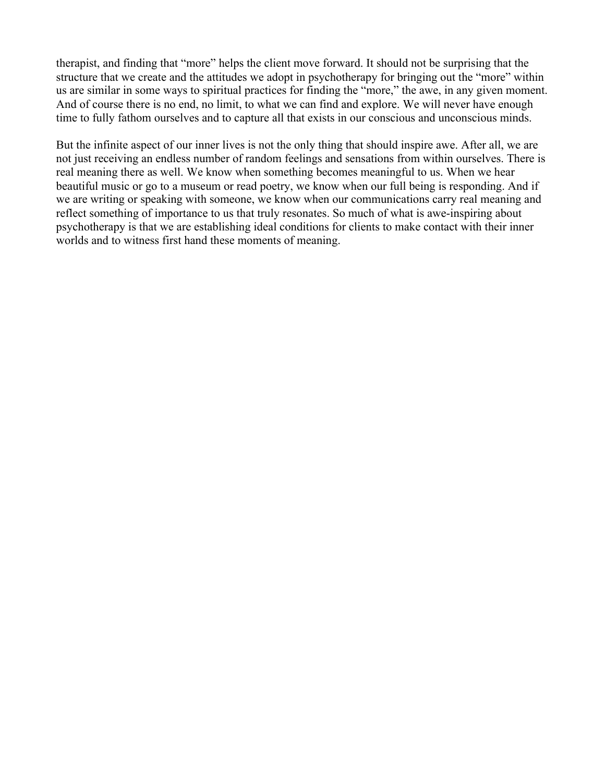therapist, and finding that "more" helps the client move forward. It should not be surprising that the structure that we create and the attitudes we adopt in psychotherapy for bringing out the "more" within us are similar in some ways to spiritual practices for finding the "more," the awe, in any given moment. And of course there is no end, no limit, to what we can find and explore. We will never have enough time to fully fathom ourselves and to capture all that exists in our conscious and unconscious minds.

But the infinite aspect of our inner lives is not the only thing that should inspire awe. After all, we are not just receiving an endless number of random feelings and sensations from within ourselves. There is real meaning there as well. We know when something becomes meaningful to us. When we hear beautiful music or go to a museum or read poetry, we know when our full being is responding. And if we are writing or speaking with someone, we know when our communications carry real meaning and reflect something of importance to us that truly resonates. So much of what is awe-inspiring about psychotherapy is that we are establishing ideal conditions for clients to make contact with their inner worlds and to witness first hand these moments of meaning.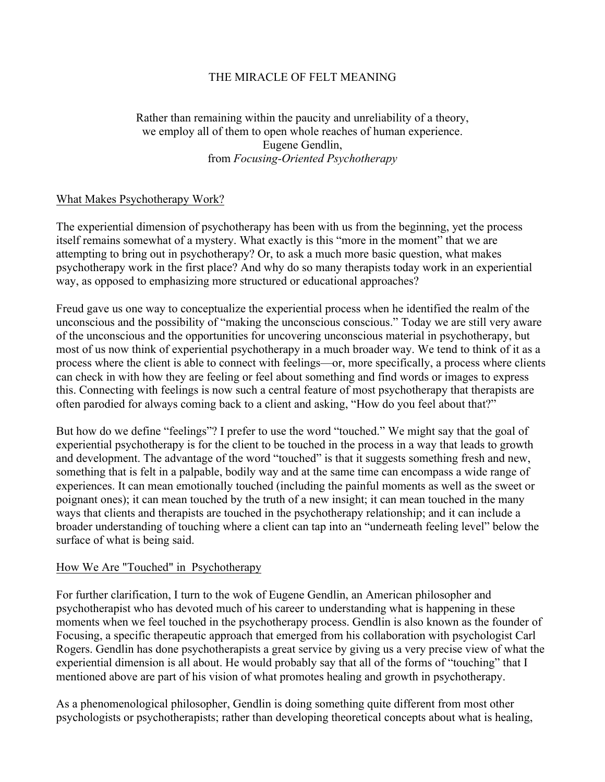## THE MIRACLE OF FELT MEANING

# Rather than remaining within the paucity and unreliability of a theory, we employ all of them to open whole reaches of human experience. Eugene Gendlin, from *Focusing-Oriented Psychotherapy*

## What Makes Psychotherapy Work?

The experiential dimension of psychotherapy has been with us from the beginning, yet the process itself remains somewhat of a mystery. What exactly is this "more in the moment" that we are attempting to bring out in psychotherapy? Or, to ask a much more basic question, what makes psychotherapy work in the first place? And why do so many therapists today work in an experiential way, as opposed to emphasizing more structured or educational approaches?

Freud gave us one way to conceptualize the experiential process when he identified the realm of the unconscious and the possibility of "making the unconscious conscious." Today we are still very aware of the unconscious and the opportunities for uncovering unconscious material in psychotherapy, but most of us now think of experiential psychotherapy in a much broader way. We tend to think of it as a process where the client is able to connect with feelings—or, more specifically, a process where clients can check in with how they are feeling or feel about something and find words or images to express this. Connecting with feelings is now such a central feature of most psychotherapy that therapists are often parodied for always coming back to a client and asking, "How do you feel about that?"

But how do we define "feelings"? I prefer to use the word "touched." We might say that the goal of experiential psychotherapy is for the client to be touched in the process in a way that leads to growth and development. The advantage of the word "touched" is that it suggests something fresh and new, something that is felt in a palpable, bodily way and at the same time can encompass a wide range of experiences. It can mean emotionally touched (including the painful moments as well as the sweet or poignant ones); it can mean touched by the truth of a new insight; it can mean touched in the many ways that clients and therapists are touched in the psychotherapy relationship; and it can include a broader understanding of touching where a client can tap into an "underneath feeling level" below the surface of what is being said.

### How We Are "Touched" in Psychotherapy

For further clarification, I turn to the wok of Eugene Gendlin, an American philosopher and psychotherapist who has devoted much of his career to understanding what is happening in these moments when we feel touched in the psychotherapy process. Gendlin is also known as the founder of Focusing, a specific therapeutic approach that emerged from his collaboration with psychologist Carl Rogers. Gendlin has done psychotherapists a great service by giving us a very precise view of what the experiential dimension is all about. He would probably say that all of the forms of "touching" that I mentioned above are part of his vision of what promotes healing and growth in psychotherapy.

As a phenomenological philosopher, Gendlin is doing something quite different from most other psychologists or psychotherapists; rather than developing theoretical concepts about what is healing,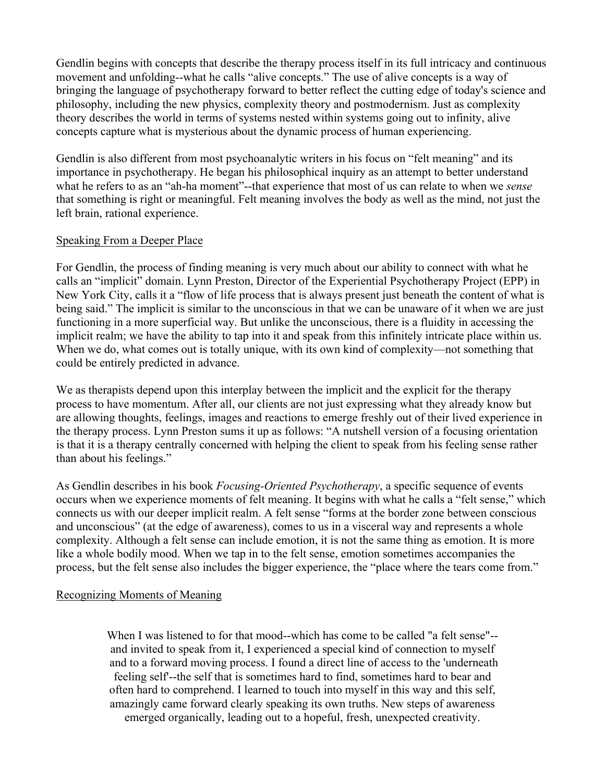Gendlin begins with concepts that describe the therapy process itself in its full intricacy and continuous movement and unfolding--what he calls "alive concepts." The use of alive concepts is a way of bringing the language of psychotherapy forward to better reflect the cutting edge of today's science and philosophy, including the new physics, complexity theory and postmodernism. Just as complexity theory describes the world in terms of systems nested within systems going out to infinity, alive concepts capture what is mysterious about the dynamic process of human experiencing.

Gendlin is also different from most psychoanalytic writers in his focus on "felt meaning" and its importance in psychotherapy. He began his philosophical inquiry as an attempt to better understand what he refers to as an "ah-ha moment"--that experience that most of us can relate to when we *sense* that something is right or meaningful. Felt meaning involves the body as well as the mind, not just the left brain, rational experience.

## Speaking From a Deeper Place

For Gendlin, the process of finding meaning is very much about our ability to connect with what he calls an "implicit" domain. Lynn Preston, Director of the Experiential Psychotherapy Project (EPP) in New York City, calls it a "flow of life process that is always present just beneath the content of what is being said." The implicit is similar to the unconscious in that we can be unaware of it when we are just functioning in a more superficial way. But unlike the unconscious, there is a fluidity in accessing the implicit realm; we have the ability to tap into it and speak from this infinitely intricate place within us. When we do, what comes out is totally unique, with its own kind of complexity—not something that could be entirely predicted in advance.

We as therapists depend upon this interplay between the implicit and the explicit for the therapy process to have momentum. After all, our clients are not just expressing what they already know but are allowing thoughts, feelings, images and reactions to emerge freshly out of their lived experience in the therapy process. Lynn Preston sums it up as follows: "A nutshell version of a focusing orientation is that it is a therapy centrally concerned with helping the client to speak from his feeling sense rather than about his feelings."

As Gendlin describes in his book *Focusing-Oriented Psychotherapy*, a specific sequence of events occurs when we experience moments of felt meaning. It begins with what he calls a "felt sense," which connects us with our deeper implicit realm. A felt sense "forms at the border zone between conscious and unconscious" (at the edge of awareness), comes to us in a visceral way and represents a whole complexity. Although a felt sense can include emotion, it is not the same thing as emotion. It is more like a whole bodily mood. When we tap in to the felt sense, emotion sometimes accompanies the process, but the felt sense also includes the bigger experience, the "place where the tears come from."

### Recognizing Moments of Meaning

When I was listened to for that mood--which has come to be called "a felt sense"-and invited to speak from it, I experienced a special kind of connection to myself and to a forward moving process. I found a direct line of access to the 'underneath feeling self'--the self that is sometimes hard to find, sometimes hard to bear and often hard to comprehend. I learned to touch into myself in this way and this self, amazingly came forward clearly speaking its own truths. New steps of awareness emerged organically, leading out to a hopeful, fresh, unexpected creativity.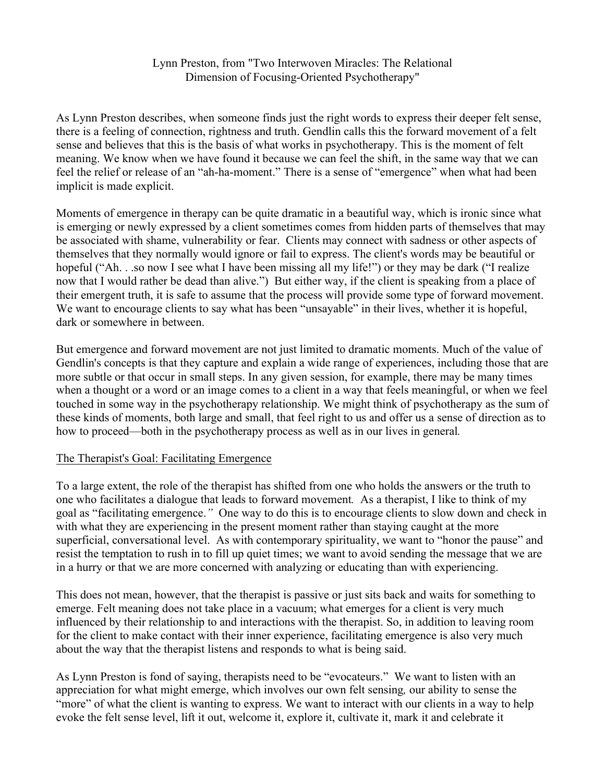### Lynn Preston, from "Two Interwoven Miracles: The Relational Dimension of Focusing-Oriented Psychotherapy"

As Lynn Preston describes, when someone finds just the right words to express their deeper felt sense, there is a feeling of connection, rightness and truth. Gendlin calls this the forward movement of a felt sense and believes that this is the basis of what works in psychotherapy. This is the moment of felt meaning. We know when we have found it because we can feel the shift, in the same way that we can feel the relief or release of an "ah-ha-moment." There is a sense of "emergence" when what had been implicit is made explicit.

Moments of emergence in therapy can be quite dramatic in a beautiful way, which is ironic since what is emerging or newly expressed by a client sometimes comes from hidden parts of themselves that may be associated with shame, vulnerability or fear. Clients may connect with sadness or other aspects of themselves that they normally would ignore or fail to express. The client's words may be beautiful or hopeful ("Ah. . .so now I see what I have been missing all my life!") or they may be dark ("I realize now that I would rather be dead than alive.") But either way, if the client is speaking from a place of their emergent truth, it is safe to assume that the process will provide some type of forward movement. We want to encourage clients to say what has been "unsayable" in their lives, whether it is hopeful, dark or somewhere in between.

But emergence and forward movement are not just limited to dramatic moments. Much of the value of Gendlin's concepts is that they capture and explain a wide range of experiences, including those that are more subtle or that occur in small steps. In any given session, for example, there may be many times when a thought or a word or an image comes to a client in a way that feels meaningful, or when we feel touched in some way in the psychotherapy relationship. We might think of psychotherapy as the sum of these kinds of moments, both large and small, that feel right to us and offer us a sense of direction as to how to proceed—both in the psychotherapy process as well as in our lives in general*.*

### The Therapist's Goal: Facilitating Emergence

To a large extent, the role of the therapist has shifted from one who holds the answers or the truth to one who facilitates a dialogue that leads to forward movement*.* As a therapist, I like to think of my goal as "facilitating emergence.*"* One way to do this is to encourage clients to slow down and check in with what they are experiencing in the present moment rather than staying caught at the more superficial, conversational level. As with contemporary spirituality, we want to "honor the pause" and resist the temptation to rush in to fill up quiet times; we want to avoid sending the message that we are in a hurry or that we are more concerned with analyzing or educating than with experiencing.

This does not mean, however, that the therapist is passive or just sits back and waits for something to emerge. Felt meaning does not take place in a vacuum; what emerges for a client is very much influenced by their relationship to and interactions with the therapist. So, in addition to leaving room for the client to make contact with their inner experience, facilitating emergence is also very much about the way that the therapist listens and responds to what is being said.

As Lynn Preston is fond of saying, therapists need to be "evocateurs." We want to listen with an appreciation for what might emerge, which involves our own felt sensing*,* our ability to sense the "more" of what the client is wanting to express. We want to interact with our clients in a way to help evoke the felt sense level, lift it out, welcome it, explore it, cultivate it, mark it and celebrate it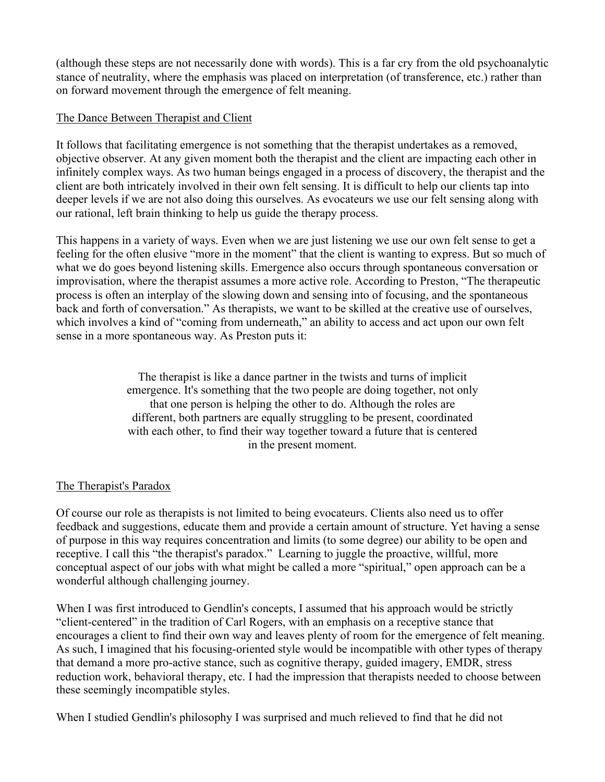(although these steps are not necessarily done with words). This is a far cry from the old psychoanalytic stance of neutrality, where the emphasis was placed on interpretation (of transference, etc.) rather than on forward movement through the emergence of felt meaning.

## The Dance Between Therapist and Client

It follows that facilitating emergence is not something that the therapist undertakes as a removed, objective observer. At any given moment both the therapist and the client are impacting each other in infinitely complex ways. As two human beings engaged in a process of discovery, the therapist and the client are both intricately involved in their own felt sensing. It is difficult to help our clients tap into deeper levels if we are not also doing this ourselves. As evocateurs we use our felt sensing along with our rational, left brain thinking to help us guide the therapy process.

This happens in a variety of ways. Even when we are just listening we use our own felt sense to get a feeling for the often elusive "more in the moment" that the client is wanting to express. But so much of what we do goes beyond listening skills. Emergence also occurs through spontaneous conversation or improvisation, where the therapist assumes a more active role. According to Preston, "The therapeutic process is often an interplay of the slowing down and sensing into of focusing, and the spontaneous back and forth of conversation." As therapists, we want to be skilled at the creative use of ourselves, which involves a kind of "coming from underneath," an ability to access and act upon our own felt sense in a more spontaneous way. As Preston puts it:

> The therapist is like a dance partner in the twists and turns of implicit emergence. It's something that the two people are doing together, not only that one person is helping the other to do. Although the roles are different, both partners are equally struggling to be present, coordinated with each other, to find their way together toward a future that is centered in the present moment.

# The Therapist's Paradox

Of course our role as therapists is not limited to being evocateurs. Clients also need us to offer feedback and suggestions, educate them and provide a certain amount of structure. Yet having a sense of purpose in this way requires concentration and limits (to some degree) our ability to be open and receptive. I call this "the therapist's paradox." Learning to juggle the proactive, willful, more conceptual aspect of our jobs with what might be called a more "spiritual," open approach can be a wonderful although challenging journey.

When I was first introduced to Gendlin's concepts, I assumed that his approach would be strictly "client-centered" in the tradition of Carl Rogers, with an emphasis on a receptive stance that encourages a client to find their own way and leaves plenty of room for the emergence of felt meaning. As such, I imagined that his focusing-oriented style would be incompatible with other types of therapy that demand a more pro-active stance, such as cognitive therapy, guided imagery, EMDR, stress reduction work, behavioral therapy, etc. I had the impression that therapists needed to choose between these seemingly incompatible styles.

When I studied Gendlin's philosophy I was surprised and much relieved to find that he did not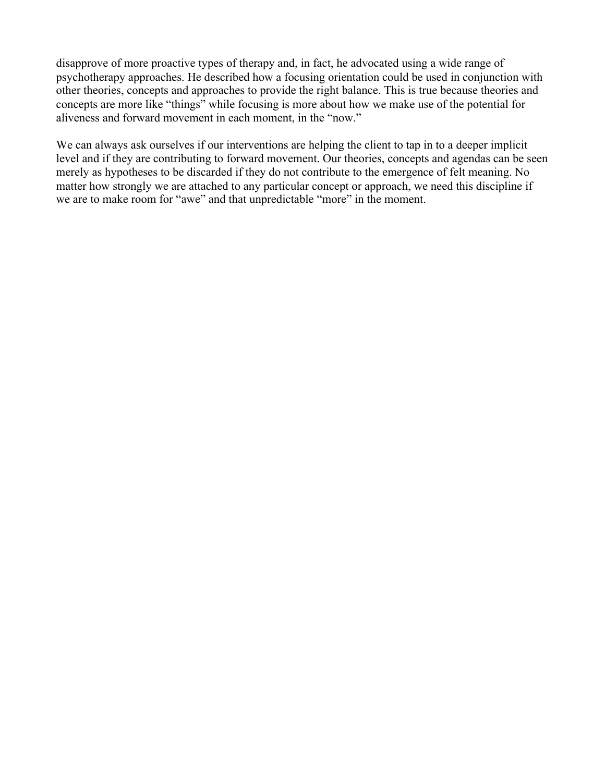disapprove of more proactive types of therapy and, in fact, he advocated using a wide range of psychotherapy approaches. He described how a focusing orientation could be used in conjunction with other theories, concepts and approaches to provide the right balance. This is true because theories and concepts are more like "things" while focusing is more about how we make use of the potential for aliveness and forward movement in each moment, in the "now."

We can always ask ourselves if our interventions are helping the client to tap in to a deeper implicit level and if they are contributing to forward movement. Our theories, concepts and agendas can be seen merely as hypotheses to be discarded if they do not contribute to the emergence of felt meaning. No matter how strongly we are attached to any particular concept or approach, we need this discipline if we are to make room for "awe" and that unpredictable "more" in the moment.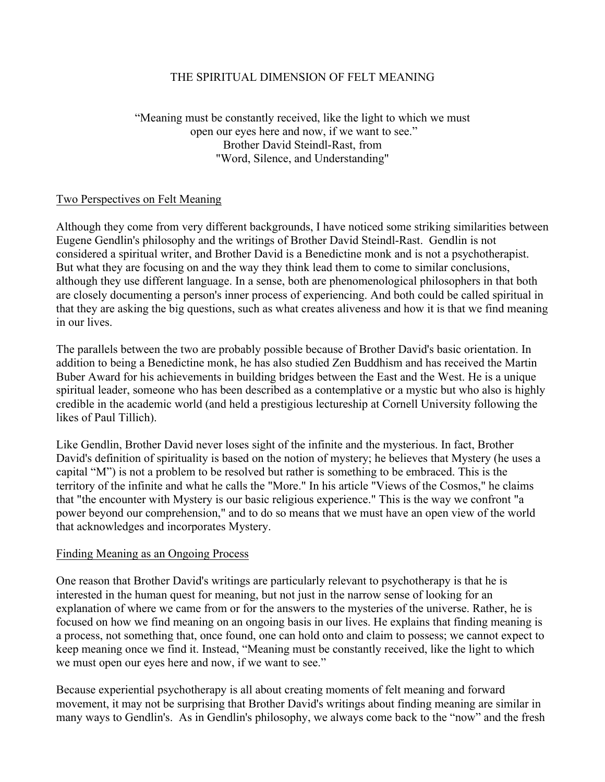## THE SPIRITUAL DIMENSION OF FELT MEANING

# "Meaning must be constantly received, like the light to which we must open our eyes here and now, if we want to see." Brother David Steindl-Rast, from "Word, Silence, and Understanding"

## Two Perspectives on Felt Meaning

Although they come from very different backgrounds, I have noticed some striking similarities between Eugene Gendlin's philosophy and the writings of Brother David Steindl-Rast. Gendlin is not considered a spiritual writer, and Brother David is a Benedictine monk and is not a psychotherapist. But what they are focusing on and the way they think lead them to come to similar conclusions, although they use different language. In a sense, both are phenomenological philosophers in that both are closely documenting a person's inner process of experiencing. And both could be called spiritual in that they are asking the big questions, such as what creates aliveness and how it is that we find meaning in our lives.

The parallels between the two are probably possible because of Brother David's basic orientation. In addition to being a Benedictine monk, he has also studied Zen Buddhism and has received the Martin Buber Award for his achievements in building bridges between the East and the West. He is a unique spiritual leader, someone who has been described as a contemplative or a mystic but who also is highly credible in the academic world (and held a prestigious lectureship at Cornell University following the likes of Paul Tillich).

Like Gendlin, Brother David never loses sight of the infinite and the mysterious. In fact, Brother David's definition of spirituality is based on the notion of mystery; he believes that Mystery (he uses a capital "M") is not a problem to be resolved but rather is something to be embraced. This is the territory of the infinite and what he calls the "More." In his article "Views of the Cosmos," he claims that "the encounter with Mystery is our basic religious experience." This is the way we confront "a power beyond our comprehension," and to do so means that we must have an open view of the world that acknowledges and incorporates Mystery.

### Finding Meaning as an Ongoing Process

One reason that Brother David's writings are particularly relevant to psychotherapy is that he is interested in the human quest for meaning, but not just in the narrow sense of looking for an explanation of where we came from or for the answers to the mysteries of the universe. Rather, he is focused on how we find meaning on an ongoing basis in our lives. He explains that finding meaning is a process, not something that, once found, one can hold onto and claim to possess; we cannot expect to keep meaning once we find it. Instead, "Meaning must be constantly received, like the light to which we must open our eyes here and now, if we want to see."

Because experiential psychotherapy is all about creating moments of felt meaning and forward movement, it may not be surprising that Brother David's writings about finding meaning are similar in many ways to Gendlin's. As in Gendlin's philosophy, we always come back to the "now" and the fresh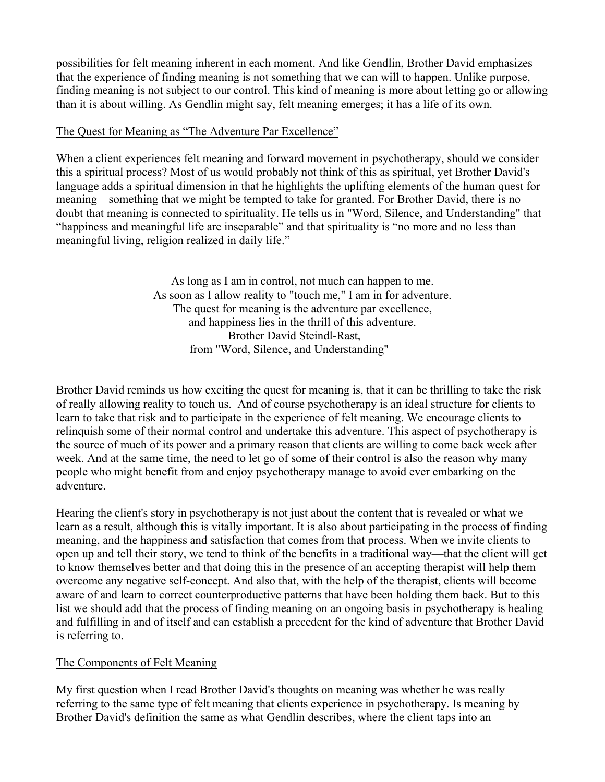possibilities for felt meaning inherent in each moment. And like Gendlin, Brother David emphasizes that the experience of finding meaning is not something that we can will to happen. Unlike purpose, finding meaning is not subject to our control. This kind of meaning is more about letting go or allowing than it is about willing. As Gendlin might say, felt meaning emerges; it has a life of its own.

## The Quest for Meaning as "The Adventure Par Excellence"

When a client experiences felt meaning and forward movement in psychotherapy, should we consider this a spiritual process? Most of us would probably not think of this as spiritual, yet Brother David's language adds a spiritual dimension in that he highlights the uplifting elements of the human quest for meaning—something that we might be tempted to take for granted. For Brother David, there is no doubt that meaning is connected to spirituality. He tells us in "Word, Silence, and Understanding" that "happiness and meaningful life are inseparable" and that spirituality is "no more and no less than meaningful living, religion realized in daily life."

> As long as I am in control, not much can happen to me. As soon as I allow reality to "touch me," I am in for adventure. The quest for meaning is the adventure par excellence, and happiness lies in the thrill of this adventure. Brother David Steindl-Rast, from "Word, Silence, and Understanding"

Brother David reminds us how exciting the quest for meaning is, that it can be thrilling to take the risk of really allowing reality to touch us. And of course psychotherapy is an ideal structure for clients to learn to take that risk and to participate in the experience of felt meaning. We encourage clients to relinquish some of their normal control and undertake this adventure. This aspect of psychotherapy is the source of much of its power and a primary reason that clients are willing to come back week after week. And at the same time, the need to let go of some of their control is also the reason why many people who might benefit from and enjoy psychotherapy manage to avoid ever embarking on the adventure.

Hearing the client's story in psychotherapy is not just about the content that is revealed or what we learn as a result, although this is vitally important. It is also about participating in the process of finding meaning, and the happiness and satisfaction that comes from that process. When we invite clients to open up and tell their story, we tend to think of the benefits in a traditional way—that the client will get to know themselves better and that doing this in the presence of an accepting therapist will help them overcome any negative self-concept. And also that, with the help of the therapist, clients will become aware of and learn to correct counterproductive patterns that have been holding them back. But to this list we should add that the process of finding meaning on an ongoing basis in psychotherapy is healing and fulfilling in and of itself and can establish a precedent for the kind of adventure that Brother David is referring to.

# The Components of Felt Meaning

My first question when I read Brother David's thoughts on meaning was whether he was really referring to the same type of felt meaning that clients experience in psychotherapy. Is meaning by Brother David's definition the same as what Gendlin describes, where the client taps into an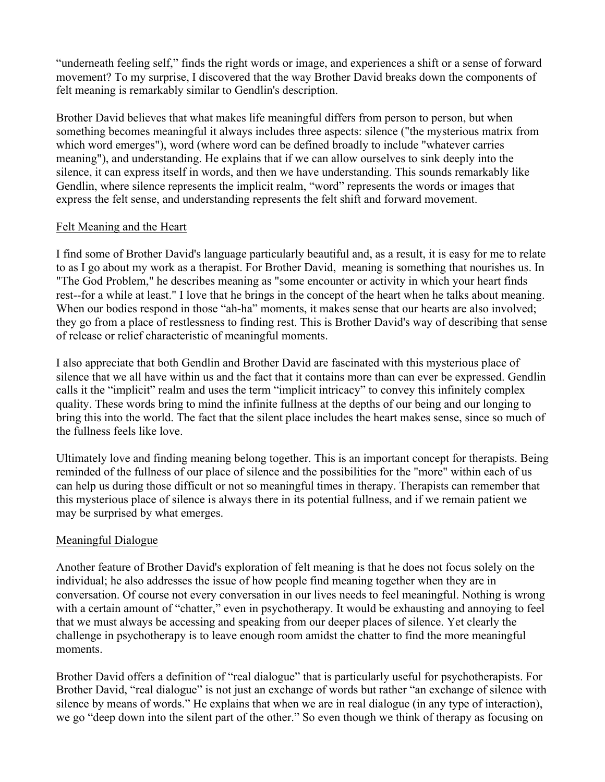"underneath feeling self," finds the right words or image, and experiences a shift or a sense of forward movement? To my surprise, I discovered that the way Brother David breaks down the components of felt meaning is remarkably similar to Gendlin's description.

Brother David believes that what makes life meaningful differs from person to person, but when something becomes meaningful it always includes three aspects: silence ("the mysterious matrix from which word emerges"), word (where word can be defined broadly to include "whatever carries meaning"), and understanding. He explains that if we can allow ourselves to sink deeply into the silence, it can express itself in words, and then we have understanding. This sounds remarkably like Gendlin, where silence represents the implicit realm, "word" represents the words or images that express the felt sense, and understanding represents the felt shift and forward movement.

# Felt Meaning and the Heart

I find some of Brother David's language particularly beautiful and, as a result, it is easy for me to relate to as I go about my work as a therapist. For Brother David, meaning is something that nourishes us. In "The God Problem," he describes meaning as "some encounter or activity in which your heart finds rest--for a while at least." I love that he brings in the concept of the heart when he talks about meaning. When our bodies respond in those "ah-ha" moments, it makes sense that our hearts are also involved; they go from a place of restlessness to finding rest. This is Brother David's way of describing that sense of release or relief characteristic of meaningful moments.

I also appreciate that both Gendlin and Brother David are fascinated with this mysterious place of silence that we all have within us and the fact that it contains more than can ever be expressed. Gendlin calls it the "implicit" realm and uses the term "implicit intricacy" to convey this infinitely complex quality. These words bring to mind the infinite fullness at the depths of our being and our longing to bring this into the world. The fact that the silent place includes the heart makes sense, since so much of the fullness feels like love.

Ultimately love and finding meaning belong together. This is an important concept for therapists. Being reminded of the fullness of our place of silence and the possibilities for the "more" within each of us can help us during those difficult or not so meaningful times in therapy. Therapists can remember that this mysterious place of silence is always there in its potential fullness, and if we remain patient we may be surprised by what emerges.

# Meaningful Dialogue

Another feature of Brother David's exploration of felt meaning is that he does not focus solely on the individual; he also addresses the issue of how people find meaning together when they are in conversation. Of course not every conversation in our lives needs to feel meaningful. Nothing is wrong with a certain amount of "chatter," even in psychotherapy. It would be exhausting and annoying to feel that we must always be accessing and speaking from our deeper places of silence. Yet clearly the challenge in psychotherapy is to leave enough room amidst the chatter to find the more meaningful moments.

Brother David offers a definition of "real dialogue" that is particularly useful for psychotherapists. For Brother David, "real dialogue" is not just an exchange of words but rather "an exchange of silence with silence by means of words." He explains that when we are in real dialogue (in any type of interaction), we go "deep down into the silent part of the other." So even though we think of therapy as focusing on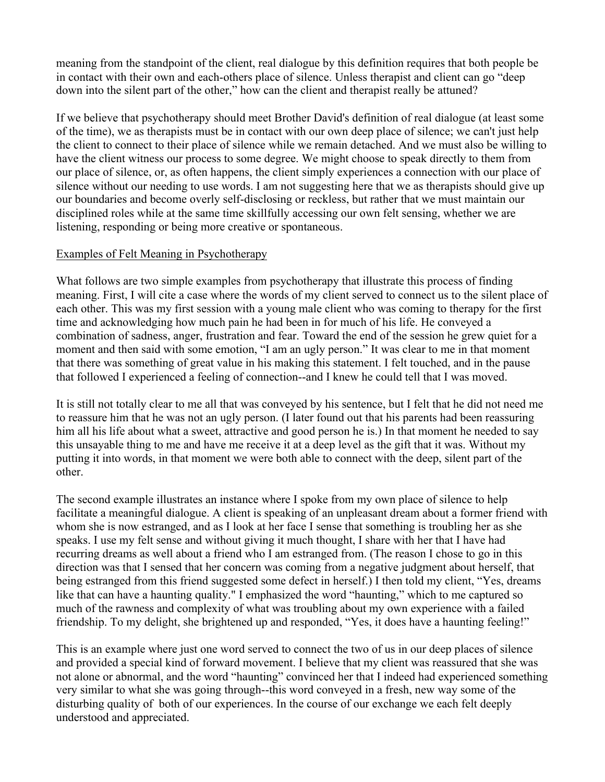meaning from the standpoint of the client, real dialogue by this definition requires that both people be in contact with their own and each-others place of silence. Unless therapist and client can go "deep down into the silent part of the other," how can the client and therapist really be attuned?

If we believe that psychotherapy should meet Brother David's definition of real dialogue (at least some of the time), we as therapists must be in contact with our own deep place of silence; we can't just help the client to connect to their place of silence while we remain detached. And we must also be willing to have the client witness our process to some degree. We might choose to speak directly to them from our place of silence, or, as often happens, the client simply experiences a connection with our place of silence without our needing to use words. I am not suggesting here that we as therapists should give up our boundaries and become overly self-disclosing or reckless, but rather that we must maintain our disciplined roles while at the same time skillfully accessing our own felt sensing, whether we are listening, responding or being more creative or spontaneous.

## Examples of Felt Meaning in Psychotherapy

What follows are two simple examples from psychotherapy that illustrate this process of finding meaning. First, I will cite a case where the words of my client served to connect us to the silent place of each other. This was my first session with a young male client who was coming to therapy for the first time and acknowledging how much pain he had been in for much of his life. He conveyed a combination of sadness, anger, frustration and fear. Toward the end of the session he grew quiet for a moment and then said with some emotion, "I am an ugly person." It was clear to me in that moment that there was something of great value in his making this statement. I felt touched, and in the pause that followed I experienced a feeling of connection--and I knew he could tell that I was moved.

It is still not totally clear to me all that was conveyed by his sentence, but I felt that he did not need me to reassure him that he was not an ugly person. (I later found out that his parents had been reassuring him all his life about what a sweet, attractive and good person he is.) In that moment he needed to say this unsayable thing to me and have me receive it at a deep level as the gift that it was. Without my putting it into words, in that moment we were both able to connect with the deep, silent part of the other.

The second example illustrates an instance where I spoke from my own place of silence to help facilitate a meaningful dialogue. A client is speaking of an unpleasant dream about a former friend with whom she is now estranged, and as I look at her face I sense that something is troubling her as she speaks. I use my felt sense and without giving it much thought, I share with her that I have had recurring dreams as well about a friend who I am estranged from. (The reason I chose to go in this direction was that I sensed that her concern was coming from a negative judgment about herself, that being estranged from this friend suggested some defect in herself.) I then told my client, "Yes, dreams like that can have a haunting quality." I emphasized the word "haunting," which to me captured so much of the rawness and complexity of what was troubling about my own experience with a failed friendship. To my delight, she brightened up and responded, "Yes, it does have a haunting feeling!"

This is an example where just one word served to connect the two of us in our deep places of silence and provided a special kind of forward movement. I believe that my client was reassured that she was not alone or abnormal, and the word "haunting" convinced her that I indeed had experienced something very similar to what she was going through--this word conveyed in a fresh, new way some of the disturbing quality of both of our experiences. In the course of our exchange we each felt deeply understood and appreciated.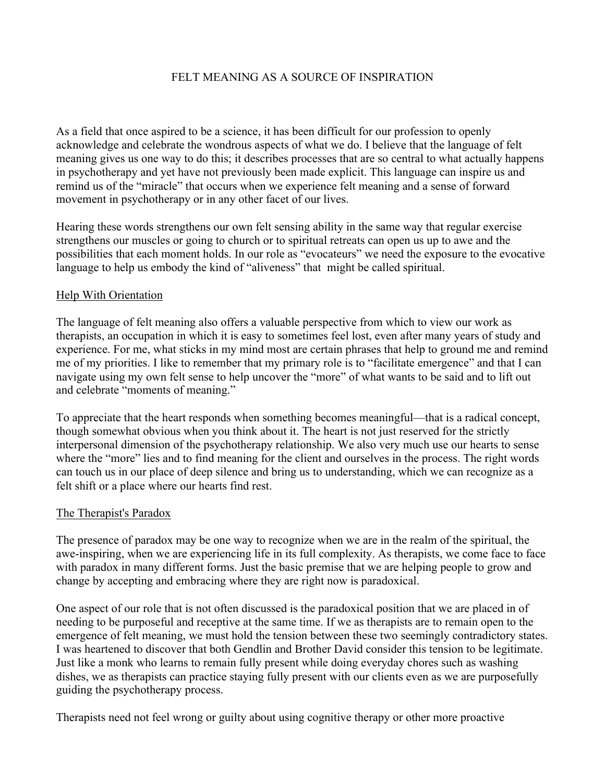# FELT MEANING AS A SOURCE OF INSPIRATION

As a field that once aspired to be a science, it has been difficult for our profession to openly acknowledge and celebrate the wondrous aspects of what we do. I believe that the language of felt meaning gives us one way to do this; it describes processes that are so central to what actually happens in psychotherapy and yet have not previously been made explicit. This language can inspire us and remind us of the "miracle" that occurs when we experience felt meaning and a sense of forward movement in psychotherapy or in any other facet of our lives.

Hearing these words strengthens our own felt sensing ability in the same way that regular exercise strengthens our muscles or going to church or to spiritual retreats can open us up to awe and the possibilities that each moment holds. In our role as "evocateurs" we need the exposure to the evocative language to help us embody the kind of "aliveness" that might be called spiritual.

### Help With Orientation

The language of felt meaning also offers a valuable perspective from which to view our work as therapists, an occupation in which it is easy to sometimes feel lost, even after many years of study and experience. For me, what sticks in my mind most are certain phrases that help to ground me and remind me of my priorities. I like to remember that my primary role is to "facilitate emergence" and that I can navigate using my own felt sense to help uncover the "more" of what wants to be said and to lift out and celebrate "moments of meaning."

To appreciate that the heart responds when something becomes meaningful—that is a radical concept, though somewhat obvious when you think about it. The heart is not just reserved for the strictly interpersonal dimension of the psychotherapy relationship. We also very much use our hearts to sense where the "more" lies and to find meaning for the client and ourselves in the process. The right words can touch us in our place of deep silence and bring us to understanding, which we can recognize as a felt shift or a place where our hearts find rest.

### The Therapist's Paradox

The presence of paradox may be one way to recognize when we are in the realm of the spiritual, the awe-inspiring, when we are experiencing life in its full complexity. As therapists, we come face to face with paradox in many different forms. Just the basic premise that we are helping people to grow and change by accepting and embracing where they are right now is paradoxical.

One aspect of our role that is not often discussed is the paradoxical position that we are placed in of needing to be purposeful and receptive at the same time. If we as therapists are to remain open to the emergence of felt meaning, we must hold the tension between these two seemingly contradictory states. I was heartened to discover that both Gendlin and Brother David consider this tension to be legitimate. Just like a monk who learns to remain fully present while doing everyday chores such as washing dishes, we as therapists can practice staying fully present with our clients even as we are purposefully guiding the psychotherapy process.

Therapists need not feel wrong or guilty about using cognitive therapy or other more proactive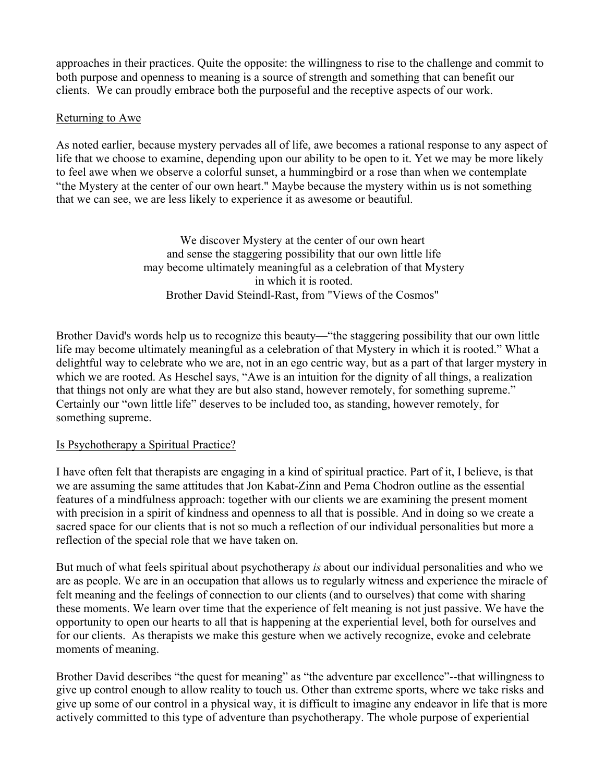approaches in their practices. Quite the opposite: the willingness to rise to the challenge and commit to both purpose and openness to meaning is a source of strength and something that can benefit our clients. We can proudly embrace both the purposeful and the receptive aspects of our work.

## Returning to Awe

As noted earlier, because mystery pervades all of life, awe becomes a rational response to any aspect of life that we choose to examine, depending upon our ability to be open to it. Yet we may be more likely to feel awe when we observe a colorful sunset, a hummingbird or a rose than when we contemplate "the Mystery at the center of our own heart." Maybe because the mystery within us is not something that we can see, we are less likely to experience it as awesome or beautiful.

> We discover Mystery at the center of our own heart and sense the staggering possibility that our own little life may become ultimately meaningful as a celebration of that Mystery in which it is rooted. Brother David Steindl-Rast, from "Views of the Cosmos"

Brother David's words help us to recognize this beauty—"the staggering possibility that our own little life may become ultimately meaningful as a celebration of that Mystery in which it is rooted." What a delightful way to celebrate who we are, not in an ego centric way, but as a part of that larger mystery in which we are rooted. As Heschel says, "Awe is an intuition for the dignity of all things, a realization that things not only are what they are but also stand, however remotely, for something supreme." Certainly our "own little life" deserves to be included too, as standing, however remotely, for something supreme.

# Is Psychotherapy a Spiritual Practice?

I have often felt that therapists are engaging in a kind of spiritual practice. Part of it, I believe, is that we are assuming the same attitudes that Jon Kabat-Zinn and Pema Chodron outline as the essential features of a mindfulness approach: together with our clients we are examining the present moment with precision in a spirit of kindness and openness to all that is possible. And in doing so we create a sacred space for our clients that is not so much a reflection of our individual personalities but more a reflection of the special role that we have taken on.

But much of what feels spiritual about psychotherapy *is* about our individual personalities and who we are as people. We are in an occupation that allows us to regularly witness and experience the miracle of felt meaning and the feelings of connection to our clients (and to ourselves) that come with sharing these moments. We learn over time that the experience of felt meaning is not just passive. We have the opportunity to open our hearts to all that is happening at the experiential level, both for ourselves and for our clients. As therapists we make this gesture when we actively recognize, evoke and celebrate moments of meaning.

Brother David describes "the quest for meaning" as "the adventure par excellence"--that willingness to give up control enough to allow reality to touch us. Other than extreme sports, where we take risks and give up some of our control in a physical way, it is difficult to imagine any endeavor in life that is more actively committed to this type of adventure than psychotherapy. The whole purpose of experiential